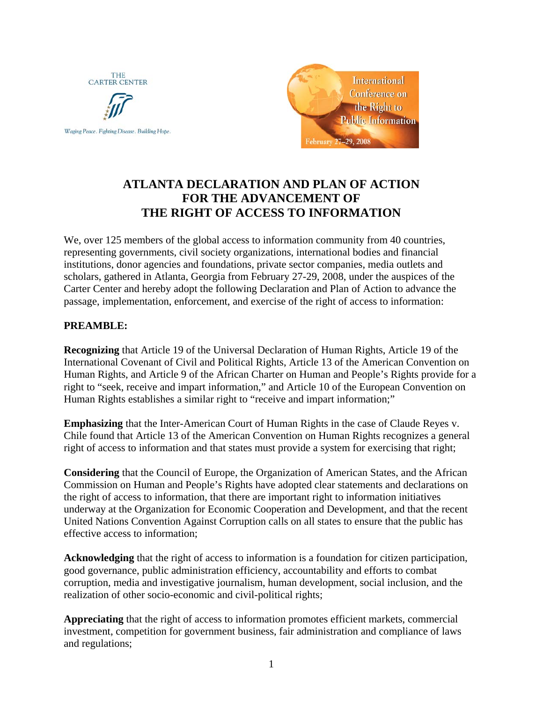**THE CARTER CENTER** 



Waging Peace. Fighting Disease. Building Hope.



# **ATLANTA DECLARATION AND PLAN OF ACTION FOR THE ADVANCEMENT OF THE RIGHT OF ACCESS TO INFORMATION**

We, over 125 members of the global access to information community from 40 countries, representing governments, civil society organizations, international bodies and financial institutions, donor agencies and foundations, private sector companies, media outlets and scholars, gathered in Atlanta, Georgia from February 27-29, 2008, under the auspices of the Carter Center and hereby adopt the following Declaration and Plan of Action to advance the passage, implementation, enforcement, and exercise of the right of access to information:

# **PREAMBLE:**

**Recognizing** that Article 19 of the Universal Declaration of Human Rights, Article 19 of the International Covenant of Civil and Political Rights, Article 13 of the American Convention on Human Rights, and Article 9 of the African Charter on Human and People's Rights provide for a right to "seek, receive and impart information," and Article 10 of the European Convention on Human Rights establishes a similar right to "receive and impart information;"

**Emphasizing** that the Inter-American Court of Human Rights in the case of Claude Reyes v. Chile found that Article 13 of the American Convention on Human Rights recognizes a general right of access to information and that states must provide a system for exercising that right;

**Considering** that the Council of Europe, the Organization of American States, and the African Commission on Human and People's Rights have adopted clear statements and declarations on the right of access to information, that there are important right to information initiatives underway at the Organization for Economic Cooperation and Development, and that the recent United Nations Convention Against Corruption calls on all states to ensure that the public has effective access to information;

**Acknowledging** that the right of access to information is a foundation for citizen participation, good governance, public administration efficiency, accountability and efforts to combat corruption, media and investigative journalism, human development, social inclusion, and the realization of other socio-economic and civil-political rights;

**Appreciating** that the right of access to information promotes efficient markets, commercial investment, competition for government business, fair administration and compliance of laws and regulations;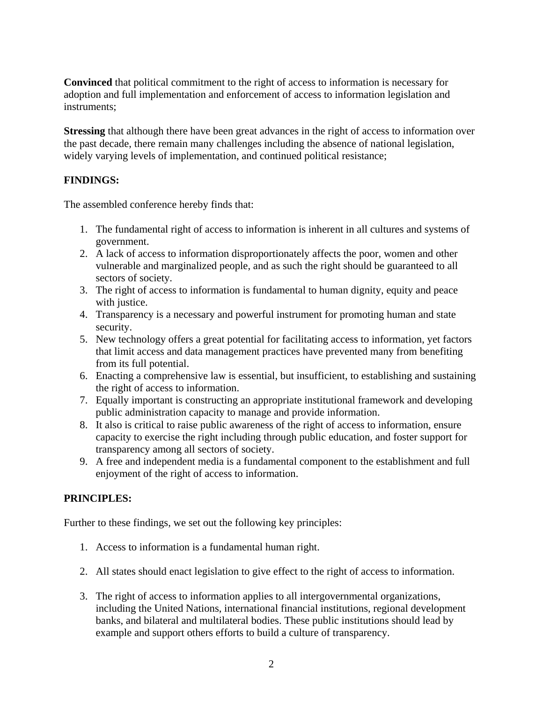**Convinced** that political commitment to the right of access to information is necessary for adoption and full implementation and enforcement of access to information legislation and instruments;

**Stressing** that although there have been great advances in the right of access to information over the past decade, there remain many challenges including the absence of national legislation, widely varying levels of implementation, and continued political resistance;

### **FINDINGS:**

The assembled conference hereby finds that:

- 1. The fundamental right of access to information is inherent in all cultures and systems of government.
- 2. A lack of access to information disproportionately affects the poor, women and other vulnerable and marginalized people, and as such the right should be guaranteed to all sectors of society.
- 3. The right of access to information is fundamental to human dignity, equity and peace with justice.
- 4. Transparency is a necessary and powerful instrument for promoting human and state security.
- 5. New technology offers a great potential for facilitating access to information, yet factors that limit access and data management practices have prevented many from benefiting from its full potential.
- 6. Enacting a comprehensive law is essential, but insufficient, to establishing and sustaining the right of access to information.
- 7. Equally important is constructing an appropriate institutional framework and developing public administration capacity to manage and provide information.
- 8. It also is critical to raise public awareness of the right of access to information, ensure capacity to exercise the right including through public education, and foster support for transparency among all sectors of society.
- 9. A free and independent media is a fundamental component to the establishment and full enjoyment of the right of access to information.

# **PRINCIPLES:**

Further to these findings, we set out the following key principles:

- 1. Access to information is a fundamental human right.
- 2. All states should enact legislation to give effect to the right of access to information.
- 3. The right of access to information applies to all intergovernmental organizations, including the United Nations, international financial institutions, regional development banks, and bilateral and multilateral bodies. These public institutions should lead by example and support others efforts to build a culture of transparency.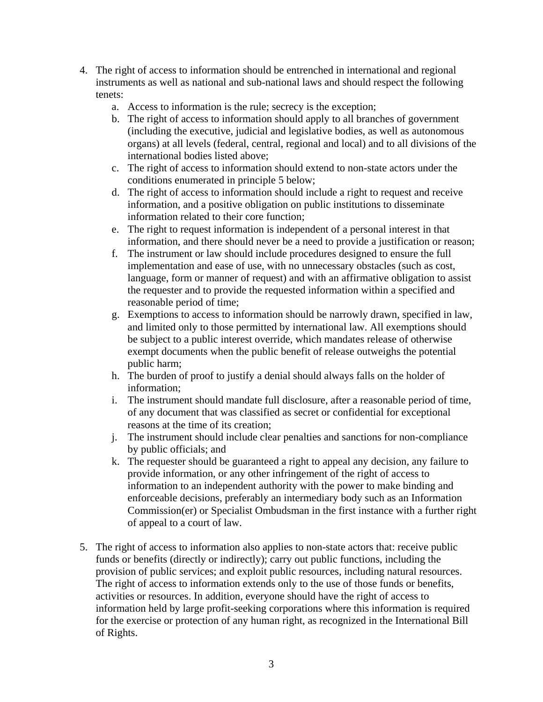- 4. The right of access to information should be entrenched in international and regional instruments as well as national and sub-national laws and should respect the following tenets:
	- a. Access to information is the rule; secrecy is the exception;
	- b. The right of access to information should apply to all branches of government (including the executive, judicial and legislative bodies, as well as autonomous organs) at all levels (federal, central, regional and local) and to all divisions of the international bodies listed above;
	- c. The right of access to information should extend to non-state actors under the conditions enumerated in principle 5 below;
	- d. The right of access to information should include a right to request and receive information, and a positive obligation on public institutions to disseminate information related to their core function;
	- e. The right to request information is independent of a personal interest in that information, and there should never be a need to provide a justification or reason;
	- f. The instrument or law should include procedures designed to ensure the full implementation and ease of use, with no unnecessary obstacles (such as cost, language, form or manner of request) and with an affirmative obligation to assist the requester and to provide the requested information within a specified and reasonable period of time;
	- g. Exemptions to access to information should be narrowly drawn, specified in law, and limited only to those permitted by international law. All exemptions should be subject to a public interest override, which mandates release of otherwise exempt documents when the public benefit of release outweighs the potential public harm;
	- h. The burden of proof to justify a denial should always falls on the holder of information;
	- i. The instrument should mandate full disclosure, after a reasonable period of time, of any document that was classified as secret or confidential for exceptional reasons at the time of its creation;
	- j. The instrument should include clear penalties and sanctions for non-compliance by public officials; and
	- k. The requester should be guaranteed a right to appeal any decision, any failure to provide information, or any other infringement of the right of access to information to an independent authority with the power to make binding and enforceable decisions, preferably an intermediary body such as an Information Commission(er) or Specialist Ombudsman in the first instance with a further right of appeal to a court of law.
- 5. The right of access to information also applies to non-state actors that: receive public funds or benefits (directly or indirectly); carry out public functions, including the provision of public services; and exploit public resources, including natural resources. The right of access to information extends only to the use of those funds or benefits, activities or resources. In addition, everyone should have the right of access to information held by large profit-seeking corporations where this information is required for the exercise or protection of any human right, as recognized in the International Bill of Rights.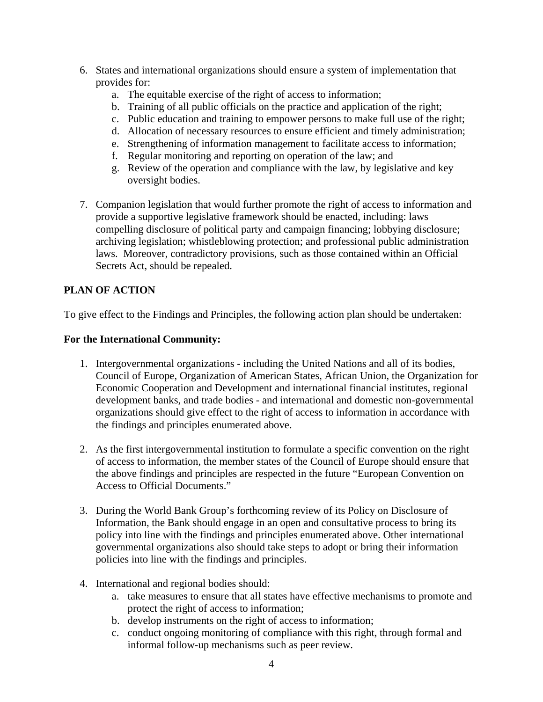- 6. States and international organizations should ensure a system of implementation that provides for:
	- a. The equitable exercise of the right of access to information;
	- b. Training of all public officials on the practice and application of the right;
	- c. Public education and training to empower persons to make full use of the right;
	- d. Allocation of necessary resources to ensure efficient and timely administration;
	- e. Strengthening of information management to facilitate access to information;
	- f. Regular monitoring and reporting on operation of the law; and
	- g. Review of the operation and compliance with the law, by legislative and key oversight bodies.
- 7. Companion legislation that would further promote the right of access to information and provide a supportive legislative framework should be enacted, including: laws compelling disclosure of political party and campaign financing; lobbying disclosure; archiving legislation; whistleblowing protection; and professional public administration laws. Moreover, contradictory provisions, such as those contained within an Official Secrets Act, should be repealed.

# **PLAN OF ACTION**

To give effect to the Findings and Principles, the following action plan should be undertaken:

#### **For the International Community:**

- 1. Intergovernmental organizations including the United Nations and all of its bodies, Council of Europe, Organization of American States, African Union, the Organization for Economic Cooperation and Development and international financial institutes, regional development banks, and trade bodies - and international and domestic non-governmental organizations should give effect to the right of access to information in accordance with the findings and principles enumerated above.
- 2. As the first intergovernmental institution to formulate a specific convention on the right of access to information, the member states of the Council of Europe should ensure that the above findings and principles are respected in the future "European Convention on Access to Official Documents."
- 3. During the World Bank Group's forthcoming review of its Policy on Disclosure of Information, the Bank should engage in an open and consultative process to bring its policy into line with the findings and principles enumerated above. Other international governmental organizations also should take steps to adopt or bring their information policies into line with the findings and principles.
- 4. International and regional bodies should:
	- a. take measures to ensure that all states have effective mechanisms to promote and protect the right of access to information;
	- b. develop instruments on the right of access to information;
	- c. conduct ongoing monitoring of compliance with this right, through formal and informal follow-up mechanisms such as peer review.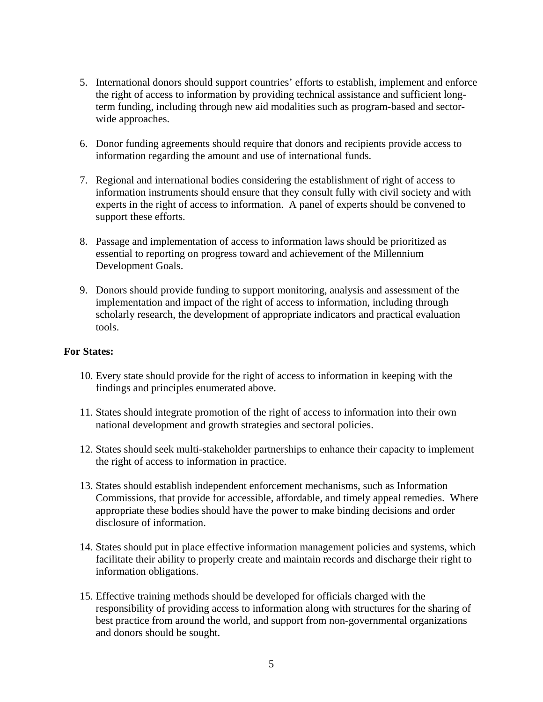- 5. International donors should support countries' efforts to establish, implement and enforce the right of access to information by providing technical assistance and sufficient longterm funding, including through new aid modalities such as program-based and sectorwide approaches.
- 6. Donor funding agreements should require that donors and recipients provide access to information regarding the amount and use of international funds.
- 7. Regional and international bodies considering the establishment of right of access to information instruments should ensure that they consult fully with civil society and with experts in the right of access to information. A panel of experts should be convened to support these efforts.
- 8. Passage and implementation of access to information laws should be prioritized as essential to reporting on progress toward and achievement of the Millennium Development Goals.
- 9. Donors should provide funding to support monitoring, analysis and assessment of the implementation and impact of the right of access to information, including through scholarly research, the development of appropriate indicators and practical evaluation tools.

#### **For States:**

- 10. Every state should provide for the right of access to information in keeping with the findings and principles enumerated above.
- 11. States should integrate promotion of the right of access to information into their own national development and growth strategies and sectoral policies.
- 12. States should seek multi-stakeholder partnerships to enhance their capacity to implement the right of access to information in practice.
- 13. States should establish independent enforcement mechanisms, such as Information Commissions, that provide for accessible, affordable, and timely appeal remedies. Where appropriate these bodies should have the power to make binding decisions and order disclosure of information.
- 14. States should put in place effective information management policies and systems, which facilitate their ability to properly create and maintain records and discharge their right to information obligations.
- 15. Effective training methods should be developed for officials charged with the responsibility of providing access to information along with structures for the sharing of best practice from around the world, and support from non-governmental organizations and donors should be sought.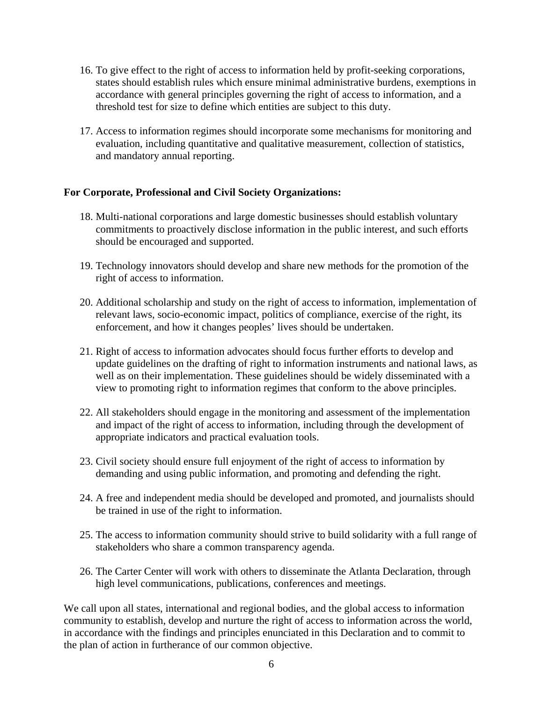- 16. To give effect to the right of access to information held by profit-seeking corporations, states should establish rules which ensure minimal administrative burdens, exemptions in accordance with general principles governing the right of access to information, and a threshold test for size to define which entities are subject to this duty.
- 17. Access to information regimes should incorporate some mechanisms for monitoring and evaluation, including quantitative and qualitative measurement, collection of statistics, and mandatory annual reporting.

### **For Corporate, Professional and Civil Society Organizations:**

- 18. Multi-national corporations and large domestic businesses should establish voluntary commitments to proactively disclose information in the public interest, and such efforts should be encouraged and supported.
- 19. Technology innovators should develop and share new methods for the promotion of the right of access to information.
- 20. Additional scholarship and study on the right of access to information, implementation of relevant laws, socio-economic impact, politics of compliance, exercise of the right, its enforcement, and how it changes peoples' lives should be undertaken.
- 21. Right of access to information advocates should focus further efforts to develop and update guidelines on the drafting of right to information instruments and national laws, as well as on their implementation. These guidelines should be widely disseminated with a view to promoting right to information regimes that conform to the above principles.
- 22. All stakeholders should engage in the monitoring and assessment of the implementation and impact of the right of access to information, including through the development of appropriate indicators and practical evaluation tools.
- 23. Civil society should ensure full enjoyment of the right of access to information by demanding and using public information, and promoting and defending the right.
- 24. A free and independent media should be developed and promoted, and journalists should be trained in use of the right to information.
- 25. The access to information community should strive to build solidarity with a full range of stakeholders who share a common transparency agenda.
- 26. The Carter Center will work with others to disseminate the Atlanta Declaration, through high level communications, publications, conferences and meetings.

We call upon all states, international and regional bodies, and the global access to information community to establish, develop and nurture the right of access to information across the world, in accordance with the findings and principles enunciated in this Declaration and to commit to the plan of action in furtherance of our common objective.